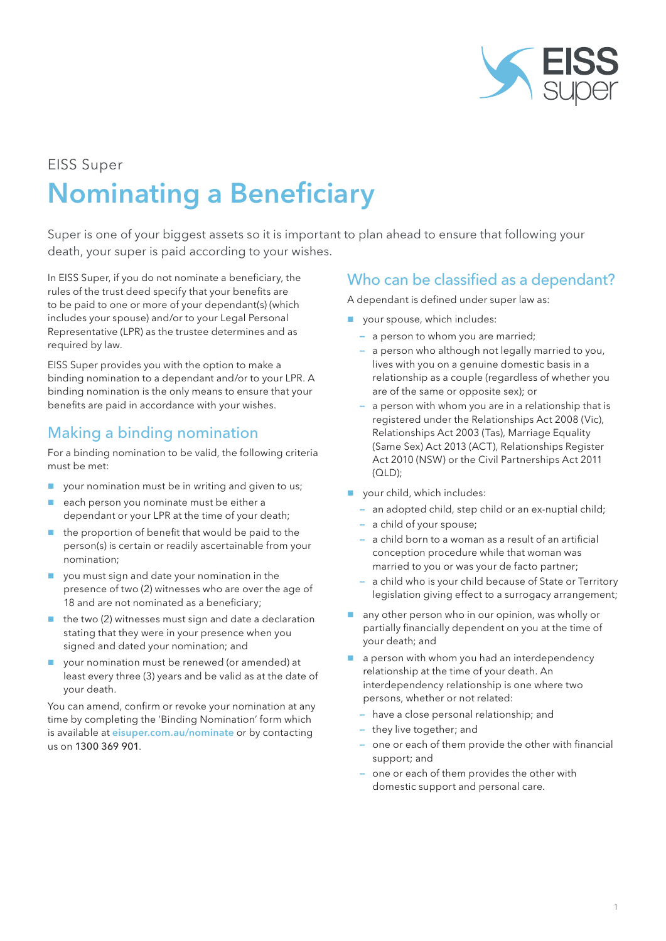

# EISS Super Nominating a Beneficiary

Super is one of your biggest assets so it is important to plan ahead to ensure that following your death, your super is paid according to your wishes.

In EISS Super, if you do not nominate a beneficiary, the rules of the trust deed specify that your benefits are to be paid to one or more of your dependant(s) (which includes your spouse) and/or to your Legal Personal Representative (LPR) as the trustee determines and as required by law.

EISS Super provides you with the option to make a binding nomination to a dependant and/or to your LPR. A binding nomination is the only means to ensure that your benefits are paid in accordance with your wishes.

### Making a binding nomination

For a binding nomination to be valid, the following criteria must be met:

- your nomination must be in writing and given to us;
- each person you nominate must be either a dependant or your LPR at the time of your death;
- the proportion of benefit that would be paid to the person(s) is certain or readily ascertainable from your nomination;
- you must sign and date your nomination in the presence of two (2) witnesses who are over the age of 18 and are not nominated as a beneficiary;
- $\blacksquare$  the two (2) witnesses must sign and date a declaration stating that they were in your presence when you signed and dated your nomination; and
- your nomination must be renewed (or amended) at least every three (3) years and be valid as at the date of your death.

You can amend, confirm or revoke your nomination at any time by completing the 'Binding Nomination' form which is available at eisuper.com.au/nominate or by contacting us on 1300 369 901.

#### Who can be classified as a dependant?

A dependant is defined under super law as:

- vour spouse, which includes:
	- a person to whom you are married;
	- a person who although not legally married to you, lives with you on a genuine domestic basis in a relationship as a couple (regardless of whether you are of the same or opposite sex); or
	- a person with whom you are in a relationship that is registered under the Relationships Act 2008 (Vic), Relationships Act 2003 (Tas), Marriage Equality (Same Sex) Act 2013 (ACT), Relationships Register Act 2010 (NSW) or the Civil Partnerships Act 2011 (QLD);
- vour child, which includes:
	- an adopted child, step child or an ex-nuptial child;
	- a child of your spouse;
	- a child born to a woman as a result of an artificial conception procedure while that woman was married to you or was your de facto partner;
	- a child who is your child because of State or Territory legislation giving effect to a surrogacy arrangement;
- any other person who in our opinion, was wholly or partially financially dependent on you at the time of your death; and
- $\blacksquare$  a person with whom you had an interdependency relationship at the time of your death. An interdependency relationship is one where two persons, whether or not related:
	- have a close personal relationship; and
	- they live together; and
	- one or each of them provide the other with financial support; and
	- one or each of them provides the other with domestic support and personal care.